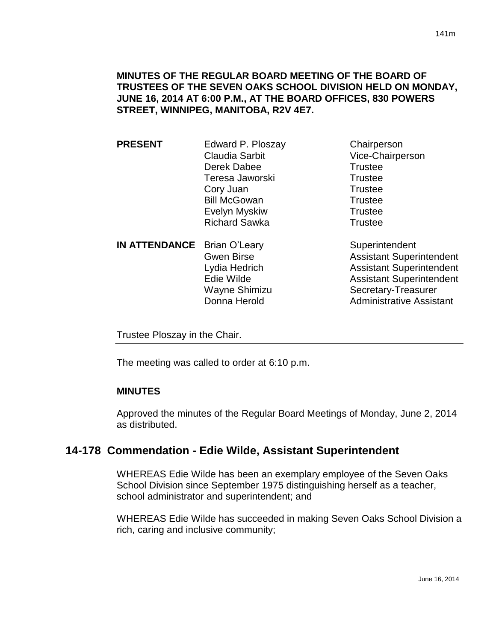# **MINUTES OF THE REGULAR BOARD MEETING OF THE BOARD OF TRUSTEES OF THE SEVEN OAKS SCHOOL DIVISION HELD ON MONDAY, JUNE 16, 2014 AT 6:00 P.M., AT THE BOARD OFFICES, 830 POWERS STREET, WINNIPEG, MANITOBA, R2V 4E7.**

**PRESENT** Edward P. Ploszay Chairperson Claudia Sarbit Vice-Chairperson Derek Dabee Trustee Teresa Jaworski **Trustee** Cory Juan **Trustee** Bill McGowan Trustee Evelyn Myskiw **Trustee** Richard Sawka Trustee **IN ATTENDANCE** Brian O'Leary Superintendent Gwen Birse **Assistant Superintendent** Lydia Hedrich **Assistant Superintendent** 

Edie Wilde **Assistant Superintendent** Wayne Shimizu Secretary-Treasurer Donna Herold **Administrative Assistant** 

Trustee Ploszay in the Chair.

The meeting was called to order at 6:10 p.m.

### **MINUTES**

Approved the minutes of the Regular Board Meetings of Monday, June 2, 2014 as distributed.

# **14-178 Commendation - Edie Wilde, Assistant Superintendent**

WHEREAS Edie Wilde has been an exemplary employee of the Seven Oaks School Division since September 1975 distinguishing herself as a teacher, school administrator and superintendent; and

WHEREAS Edie Wilde has succeeded in making Seven Oaks School Division a rich, caring and inclusive community;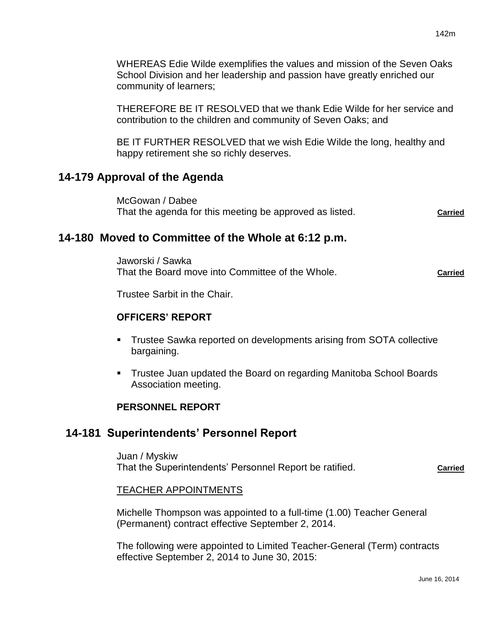WHEREAS Edie Wilde exemplifies the values and mission of the Seven Oaks School Division and her leadership and passion have greatly enriched our community of learners;

THEREFORE BE IT RESOLVED that we thank Edie Wilde for her service and contribution to the children and community of Seven Oaks; and

BE IT FURTHER RESOLVED that we wish Edie Wilde the long, healthy and happy retirement she so richly deserves.

# **14-179 Approval of the Agenda**

McGowan / Dabee That the agenda for this meeting be approved as listed. **Carried**

# **14-180 Moved to Committee of the Whole at 6:12 p.m.**

Jaworski / Sawka That the Board move into Committee of the Whole. **Carried**

Trustee Sarbit in the Chair.

# **OFFICERS' REPORT**

- Trustee Sawka reported on developments arising from SOTA collective bargaining.
- Trustee Juan updated the Board on regarding Manitoba School Boards Association meeting.

### **PERSONNEL REPORT**

# **14-181 Superintendents' Personnel Report**

Juan / Myskiw That the Superintendents' Personnel Report be ratified. **Carried**

### TEACHER APPOINTMENTS

Michelle Thompson was appointed to a full-time (1.00) Teacher General (Permanent) contract effective September 2, 2014.

The following were appointed to Limited Teacher-General (Term) contracts effective September 2, 2014 to June 30, 2015: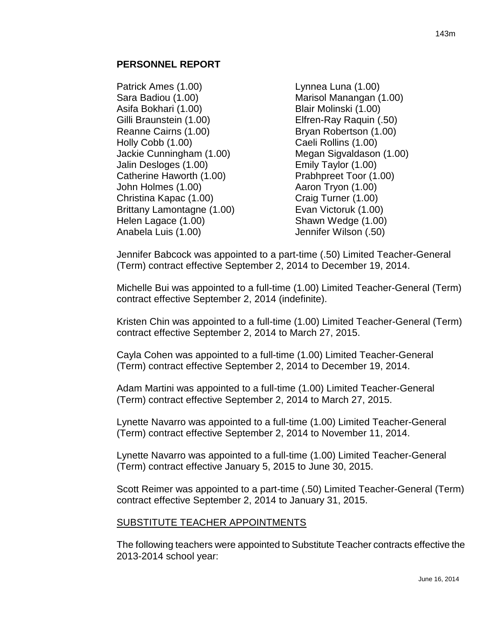#### **PERSONNEL REPORT**

- Patrick Ames (1.00) Sara Badiou (1.00) Asifa Bokhari (1.00) Gilli Braunstein (1.00) Reanne Cairns (1.00) Holly Cobb (1.00) Jackie Cunningham (1.00) Jalin Desloges (1.00) Catherine Haworth (1.00) John Holmes (1.00) Christina Kapac (1.00) Brittany Lamontagne (1.00) Helen Lagace (1.00) Anabela Luis (1.00)
- Lynnea Luna (1.00) Marisol Manangan (1.00) Blair Molinski (1.00) Elfren-Ray Raquin (.50) Bryan Robertson (1.00) Caeli Rollins (1.00) Megan Sigvaldason (1.00) Emily Taylor (1.00) Prabhpreet Toor (1.00) Aaron Tryon (1.00) Craig Turner (1.00) Evan Victoruk (1.00) Shawn Wedge (1.00) Jennifer Wilson (.50)

Jennifer Babcock was appointed to a part-time (.50) Limited Teacher-General (Term) contract effective September 2, 2014 to December 19, 2014.

Michelle Bui was appointed to a full-time (1.00) Limited Teacher-General (Term) contract effective September 2, 2014 (indefinite).

Kristen Chin was appointed to a full-time (1.00) Limited Teacher-General (Term) contract effective September 2, 2014 to March 27, 2015.

Cayla Cohen was appointed to a full-time (1.00) Limited Teacher-General (Term) contract effective September 2, 2014 to December 19, 2014.

Adam Martini was appointed to a full-time (1.00) Limited Teacher-General (Term) contract effective September 2, 2014 to March 27, 2015.

Lynette Navarro was appointed to a full-time (1.00) Limited Teacher-General (Term) contract effective September 2, 2014 to November 11, 2014.

Lynette Navarro was appointed to a full-time (1.00) Limited Teacher-General (Term) contract effective January 5, 2015 to June 30, 2015.

Scott Reimer was appointed to a part-time (.50) Limited Teacher-General (Term) contract effective September 2, 2014 to January 31, 2015.

### SUBSTITUTE TEACHER APPOINTMENTS

The following teachers were appointed to Substitute Teacher contracts effective the 2013-2014 school year: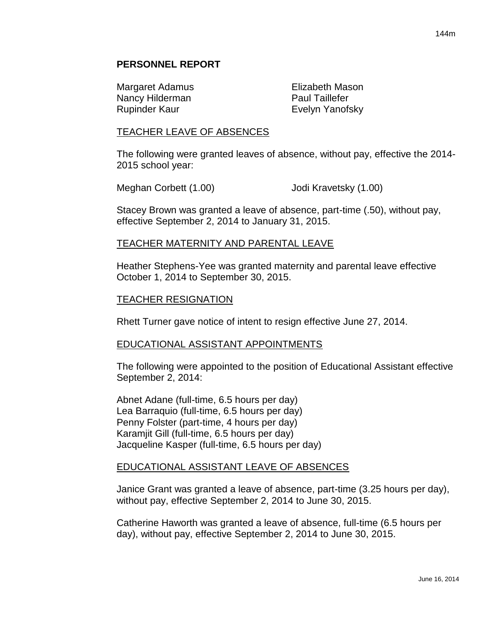#### **PERSONNEL REPORT**

Margaret Adamus **Elizabeth Mason** Nancy Hilderman **Paul Taillefer** Rupinder Kaur **Evelyn Yanofsky** 

#### TEACHER LEAVE OF ABSENCES

The following were granted leaves of absence, without pay, effective the 2014- 2015 school year:

Meghan Corbett (1.00) Jodi Kravetsky (1.00)

Stacey Brown was granted a leave of absence, part-time (.50), without pay, effective September 2, 2014 to January 31, 2015.

#### TEACHER MATERNITY AND PARENTAL LEAVE

Heather Stephens-Yee was granted maternity and parental leave effective October 1, 2014 to September 30, 2015.

#### TEACHER RESIGNATION

Rhett Turner gave notice of intent to resign effective June 27, 2014.

#### EDUCATIONAL ASSISTANT APPOINTMENTS

The following were appointed to the position of Educational Assistant effective September 2, 2014:

Abnet Adane (full-time, 6.5 hours per day) Lea Barraquio (full-time, 6.5 hours per day) Penny Folster (part-time, 4 hours per day) Karamjit Gill (full-time, 6.5 hours per day) Jacqueline Kasper (full-time, 6.5 hours per day)

#### EDUCATIONAL ASSISTANT LEAVE OF ABSENCES

Janice Grant was granted a leave of absence, part-time (3.25 hours per day), without pay, effective September 2, 2014 to June 30, 2015.

Catherine Haworth was granted a leave of absence, full-time (6.5 hours per day), without pay, effective September 2, 2014 to June 30, 2015.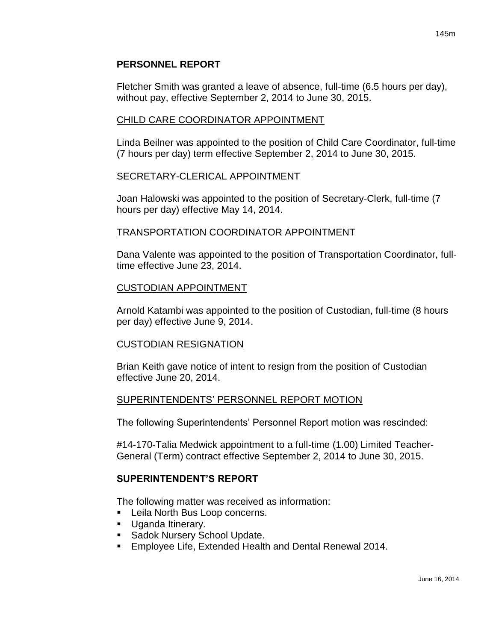# **PERSONNEL REPORT**

Fletcher Smith was granted a leave of absence, full-time (6.5 hours per day), without pay, effective September 2, 2014 to June 30, 2015.

# CHILD CARE COORDINATOR APPOINTMENT

Linda Beilner was appointed to the position of Child Care Coordinator, full-time (7 hours per day) term effective September 2, 2014 to June 30, 2015.

#### SECRETARY-CLERICAL APPOINTMENT

Joan Halowski was appointed to the position of Secretary-Clerk, full-time (7 hours per day) effective May 14, 2014.

### TRANSPORTATION COORDINATOR APPOINTMENT

Dana Valente was appointed to the position of Transportation Coordinator, fulltime effective June 23, 2014.

#### CUSTODIAN APPOINTMENT

Arnold Katambi was appointed to the position of Custodian, full-time (8 hours per day) effective June 9, 2014.

### CUSTODIAN RESIGNATION

Brian Keith gave notice of intent to resign from the position of Custodian effective June 20, 2014.

### SUPERINTENDENTS' PERSONNEL REPORT MOTION

The following Superintendents' Personnel Report motion was rescinded:

#14-170-Talia Medwick appointment to a full-time (1.00) Limited Teacher-General (Term) contract effective September 2, 2014 to June 30, 2015.

### **SUPERINTENDENT'S REPORT**

The following matter was received as information:

- **Leila North Bus Loop concerns.**
- **Uganda Itinerary.**
- **Sadok Nursery School Update.**
- Employee Life, Extended Health and Dental Renewal 2014.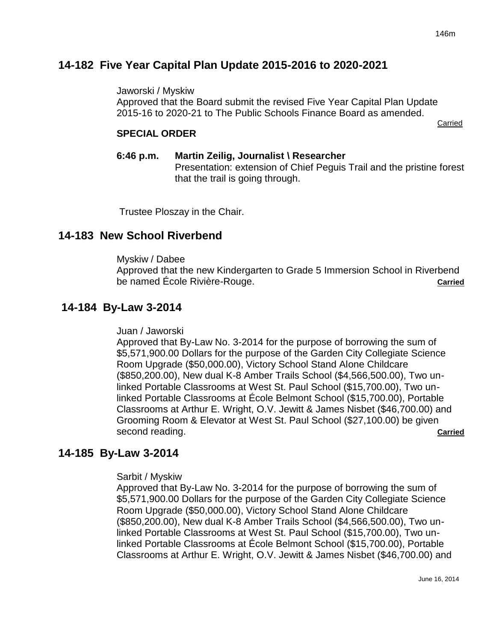# **14-182 Five Year Capital Plan Update 2015-2016 to 2020-2021**

Jaworski / Myskiw

Approved that the Board submit the revised Five Year Capital Plan Update 2015-16 to 2020-21 to The Public Schools Finance Board as amended.

Carried

# **SPECIAL ORDER**

**6:46 p.m. Martin Zeilig, Journalist \ Researcher** Presentation: extension of Chief Peguis Trail and the pristine forest that the trail is going through.

Trustee Ploszay in the Chair.

# **14-183 New School Riverbend**

Myskiw / Dabee

Approved that the new Kindergarten to Grade 5 Immersion School in Riverbend be named École Rivière-Rouge. **Carried**

# **14-184 By-Law 3-2014**

Juan / Jaworski

Approved that By-Law No. 3-2014 for the purpose of borrowing the sum of \$5,571,900.00 Dollars for the purpose of the Garden City Collegiate Science Room Upgrade (\$50,000.00), Victory School Stand Alone Childcare (\$850,200.00), New dual K-8 Amber Trails School (\$4,566,500.00), Two unlinked Portable Classrooms at West St. Paul School (\$15,700.00), Two unlinked Portable Classrooms at École Belmont School (\$15,700.00), Portable Classrooms at Arthur E. Wright, O.V. Jewitt & James Nisbet (\$46,700.00) and Grooming Room & Elevator at West St. Paul School (\$27,100.00) be given second reading. **Carried** 

# **14-185 By-Law 3-2014**

Sarbit / Myskiw

Approved that By-Law No. 3-2014 for the purpose of borrowing the sum of \$5,571,900.00 Dollars for the purpose of the Garden City Collegiate Science Room Upgrade (\$50,000.00), Victory School Stand Alone Childcare (\$850,200.00), New dual K-8 Amber Trails School (\$4,566,500.00), Two unlinked Portable Classrooms at West St. Paul School (\$15,700.00), Two unlinked Portable Classrooms at École Belmont School (\$15,700.00), Portable Classrooms at Arthur E. Wright, O.V. Jewitt & James Nisbet (\$46,700.00) and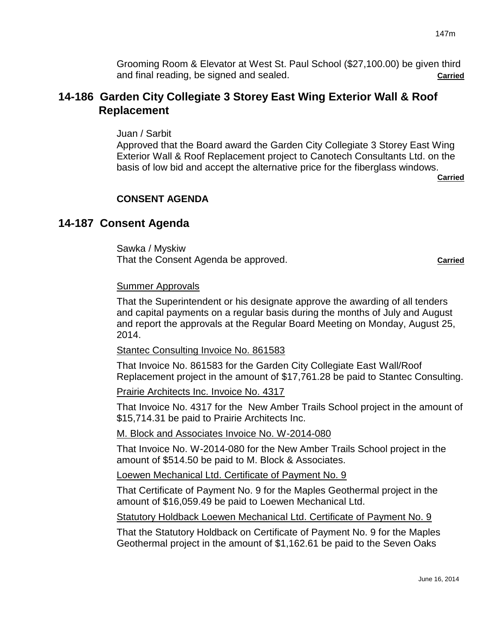Grooming Room & Elevator at West St. Paul School (\$27,100.00) be given third and final reading, be signed and sealed. **Carried**

# **14-186 Garden City Collegiate 3 Storey East Wing Exterior Wall & Roof Replacement**

Juan / Sarbit

Approved that the Board award the Garden City Collegiate 3 Storey East Wing Exterior Wall & Roof Replacement project to Canotech Consultants Ltd. on the basis of low bid and accept the alternative price for the fiberglass windows.

**Carried**

# **CONSENT AGENDA**

# **14-187 Consent Agenda**

Sawka / Myskiw That the Consent Agenda be approved. **Carried**

#### Summer Approvals

That the Superintendent or his designate approve the awarding of all tenders and capital payments on a regular basis during the months of July and August and report the approvals at the Regular Board Meeting on Monday, August 25, 2014.

#### Stantec Consulting Invoice No. 861583

That Invoice No. 861583 for the Garden City Collegiate East Wall/Roof Replacement project in the amount of \$17,761.28 be paid to Stantec Consulting.

Prairie Architects Inc. Invoice No. 4317

That Invoice No. 4317 for the New Amber Trails School project in the amount of \$15,714.31 be paid to Prairie Architects Inc.

### M. Block and Associates Invoice No. W-2014-080

That Invoice No. W-2014-080 for the New Amber Trails School project in the amount of \$514.50 be paid to M. Block & Associates.

Loewen Mechanical Ltd. Certificate of Payment No. 9

That Certificate of Payment No. 9 for the Maples Geothermal project in the amount of \$16,059.49 be paid to Loewen Mechanical Ltd.

Statutory Holdback Loewen Mechanical Ltd. Certificate of Payment No. 9

That the Statutory Holdback on Certificate of Payment No. 9 for the Maples Geothermal project in the amount of \$1,162.61 be paid to the Seven Oaks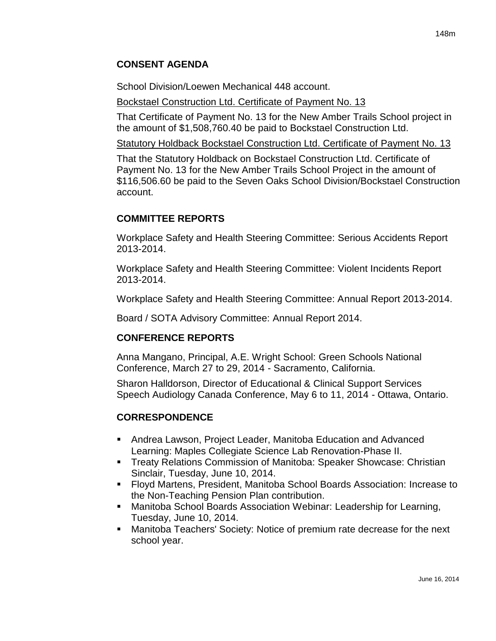#### **CONSENT AGENDA**

School Division/Loewen Mechanical 448 account.

Bockstael Construction Ltd. Certificate of Payment No. 13

That Certificate of Payment No. 13 for the New Amber Trails School project in the amount of \$1,508,760.40 be paid to Bockstael Construction Ltd.

Statutory Holdback Bockstael Construction Ltd. Certificate of Payment No. 13

That the Statutory Holdback on Bockstael Construction Ltd. Certificate of Payment No. 13 for the New Amber Trails School Project in the amount of \$116,506.60 be paid to the Seven Oaks School Division/Bockstael Construction account.

#### **COMMITTEE REPORTS**

Workplace Safety and Health Steering Committee: Serious Accidents Report 2013-2014.

Workplace Safety and Health Steering Committee: Violent Incidents Report 2013-2014.

Workplace Safety and Health Steering Committee: Annual Report 2013-2014.

Board / SOTA Advisory Committee: Annual Report 2014.

#### **CONFERENCE REPORTS**

Anna Mangano, Principal, A.E. Wright School: Green Schools National Conference, March 27 to 29, 2014 - Sacramento, California.

Sharon Halldorson, Director of Educational & Clinical Support Services Speech Audiology Canada Conference, May 6 to 11, 2014 - Ottawa, Ontario.

#### **CORRESPONDENCE**

- Andrea Lawson, Project Leader, Manitoba Education and Advanced Learning: Maples Collegiate Science Lab Renovation-Phase II.
- **Treaty Relations Commission of Manitoba: Speaker Showcase: Christian** Sinclair, Tuesday, June 10, 2014.
- Floyd Martens, President, Manitoba School Boards Association: Increase to the Non-Teaching Pension Plan contribution.
- Manitoba School Boards Association Webinar: Leadership for Learning, Tuesday, June 10, 2014.
- Manitoba Teachers' Society: Notice of premium rate decrease for the next school year.